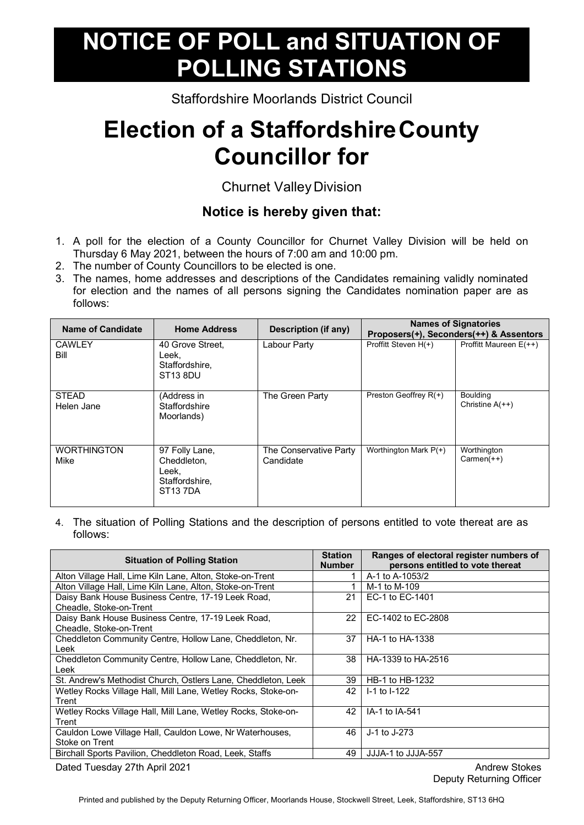## **NOTICE OF POLL and SITUATION OF POLLING STATIONS**

Staffordshire Moorlands District Council

## **Election of a StaffordshireCounty Councillor for**

Churnet Valley Division

## **Notice is hereby given that:**

- 1. A poll for the election of a County Councillor for Churnet Valley Division will be held on Thursday 6 May 2021, between the hours of 7:00 am and 10:00 pm.
- 2. The number of County Councillors to be elected is one.
- 3. The names, home addresses and descriptions of the Candidates remaining validly nominated for election and the names of all persons signing the Candidates nomination paper are as follows:

| <b>Name of Candidate</b>   | <b>Home Address</b>                                                        | Description (if any)                | <b>Names of Signatories</b> | Proposers(+), Seconders(++) & Assentors |
|----------------------------|----------------------------------------------------------------------------|-------------------------------------|-----------------------------|-----------------------------------------|
| <b>CAWLEY</b><br>Bill      | 40 Grove Street.<br>Leek,<br>Staffordshire,<br>ST <sub>13</sub> 8DU        | Labour Party                        | Proffitt Steven H(+)        | Proffitt Maureen E(++)                  |
| <b>STEAD</b><br>Helen Jane | (Address in<br>Staffordshire<br>Moorlands)                                 | The Green Party                     | Preston Geoffrey R(+)       | <b>Boulding</b><br>Christine $A(++)$    |
| <b>WORTHINGTON</b><br>Mike | 97 Folly Lane,<br>Cheddleton.<br>Leek.<br>Staffordshire,<br><b>ST137DA</b> | The Conservative Party<br>Candidate | Worthington Mark P(+)       | Worthington<br>$Carmen(++)$             |

4. The situation of Polling Stations and the description of persons entitled to vote thereat are as follows:

| <b>Situation of Polling Station</b>                                           | <b>Station</b><br><b>Number</b> | Ranges of electoral register numbers of<br>persons entitled to vote thereat |
|-------------------------------------------------------------------------------|---------------------------------|-----------------------------------------------------------------------------|
| Alton Village Hall, Lime Kiln Lane, Alton, Stoke-on-Trent                     |                                 | A-1 to A-1053/2                                                             |
| Alton Village Hall, Lime Kiln Lane, Alton, Stoke-on-Trent                     |                                 | M-1 to M-109                                                                |
| Daisy Bank House Business Centre, 17-19 Leek Road,<br>Cheadle, Stoke-on-Trent | 21                              | EC-1 to EC-1401                                                             |
| Daisy Bank House Business Centre, 17-19 Leek Road,<br>Cheadle, Stoke-on-Trent | 22                              | EC-1402 to EC-2808                                                          |
| Cheddleton Community Centre, Hollow Lane, Cheddleton, Nr.<br>Leek             | 37                              | HA-1 to HA-1338                                                             |
| Cheddleton Community Centre, Hollow Lane, Cheddleton, Nr.<br>Leek             | 38                              | HA-1339 to HA-2516                                                          |
| St. Andrew's Methodist Church, Ostlers Lane, Cheddleton, Leek                 | 39                              | HB-1 to HB-1232                                                             |
| Wetley Rocks Village Hall, Mill Lane, Wetley Rocks, Stoke-on-<br>Trent        | 42                              | $-1$ to $-122$                                                              |
| Wetley Rocks Village Hall, Mill Lane, Wetley Rocks, Stoke-on-<br>Trent        | 42                              | IA-1 to IA-541                                                              |
| Cauldon Lowe Village Hall, Cauldon Lowe, Nr Waterhouses,<br>Stoke on Trent    | 46                              | J-1 to J-273                                                                |
| Birchall Sports Pavilion, Cheddleton Road, Leek, Staffs                       | 49                              | JJJA-1 to JJJA-557                                                          |
| Dated Tuesday 27th April 2021                                                 |                                 | <b>Andrew Stokes</b>                                                        |

Deputy Returning Officer